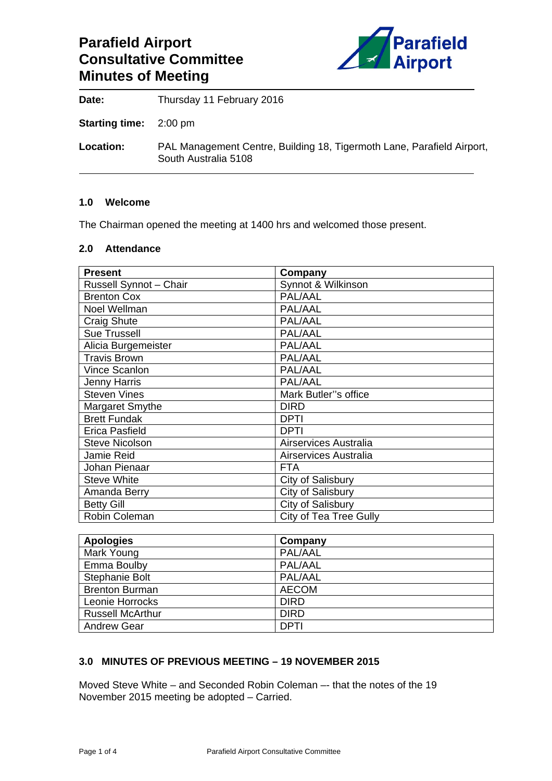# **Parafield Airport Consultative Committee Minutes of Meeting**



Date: Thursday 11 February 2016

**Starting time:** 2:00 pm

**Location:** PAL Management Centre, Building 18, Tigermoth Lane, Parafield Airport, South Australia 5108

### **1.0 Welcome**

The Chairman opened the meeting at 1400 hrs and welcomed those present.

### **2.0 Attendance**

| <b>Present</b>         | Company                |
|------------------------|------------------------|
| Russell Synnot - Chair | Synnot & Wilkinson     |
| <b>Brenton Cox</b>     | PAL/AAL                |
| Noel Wellman           | PAL/AAL                |
| Craig Shute            | PAL/AAL                |
| <b>Sue Trussell</b>    | PAL/AAL                |
| Alicia Burgemeister    | PAL/AAL                |
| <b>Travis Brown</b>    | PAL/AAL                |
| Vince Scanlon          | PAL/AAL                |
| <b>Jenny Harris</b>    | PAL/AAL                |
| <b>Steven Vines</b>    | Mark Butler"s office   |
| Margaret Smythe        | <b>DIRD</b>            |
| <b>Brett Fundak</b>    | <b>DPTI</b>            |
| <b>Erica Pasfield</b>  | <b>DPTI</b>            |
| <b>Steve Nicolson</b>  | Airservices Australia  |
| Jamie Reid             | Airservices Australia  |
| Johan Pienaar          | <b>FTA</b>             |
| <b>Steve White</b>     | City of Salisbury      |
| Amanda Berry           | City of Salisbury      |
| <b>Betty Gill</b>      | City of Salisbury      |
| Robin Coleman          | City of Tea Tree Gully |

| <b>Apologies</b>        | Company      |
|-------------------------|--------------|
| Mark Young              | PAL/AAL      |
| Emma Boulby             | PAL/AAL      |
| Stephanie Bolt          | PAL/AAL      |
| <b>Brenton Burman</b>   | <b>AECOM</b> |
| Leonie Horrocks         | <b>DIRD</b>  |
| <b>Russell McArthur</b> | <b>DIRD</b>  |
| <b>Andrew Gear</b>      | <b>DPTI</b>  |

# **3.0 MINUTES OF PREVIOUS MEETING – 19 NOVEMBER 2015**

Moved Steve White – and Seconded Robin Coleman –- that the notes of the 19 November 2015 meeting be adopted – Carried.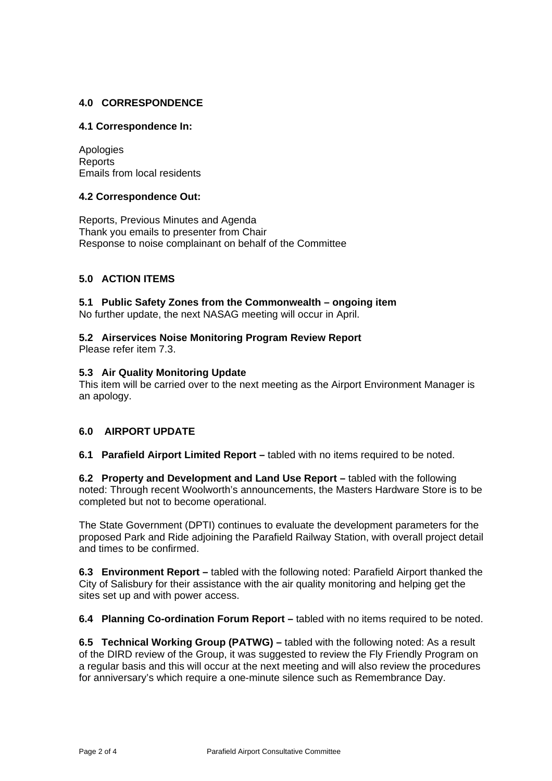# **4.0 CORRESPONDENCE**

### **4.1 Correspondence In:**

Apologies Reports Emails from local residents

### **4.2 Correspondence Out:**

Reports, Previous Minutes and Agenda Thank you emails to presenter from Chair Response to noise complainant on behalf of the Committee

# **5.0 ACTION ITEMS**

# **5.1 Public Safety Zones from the Commonwealth – ongoing item**

No further update, the next NASAG meeting will occur in April.

# **5.2 Airservices Noise Monitoring Program Review Report**

Please refer item 7.3.

### **5.3 Air Quality Monitoring Update**

This item will be carried over to the next meeting as the Airport Environment Manager is an apology.

### **6.0 AIRPORT UPDATE**

**6.1 Parafield Airport Limited Report –** tabled with no items required to be noted.

**6.2 Property and Development and Land Use Report –** tabled with the following noted: Through recent Woolworth's announcements, the Masters Hardware Store is to be completed but not to become operational.

The State Government (DPTI) continues to evaluate the development parameters for the proposed Park and Ride adjoining the Parafield Railway Station, with overall project detail and times to be confirmed.

**6.3 Environment Report –** tabled with the following noted: Parafield Airport thanked the City of Salisbury for their assistance with the air quality monitoring and helping get the sites set up and with power access.

**6.4 Planning Co-ordination Forum Report –** tabled with no items required to be noted.

**6.5 Technical Working Group (PATWG) –** tabled with the following noted: As a result of the DIRD review of the Group, it was suggested to review the Fly Friendly Program on a regular basis and this will occur at the next meeting and will also review the procedures for anniversary's which require a one-minute silence such as Remembrance Day.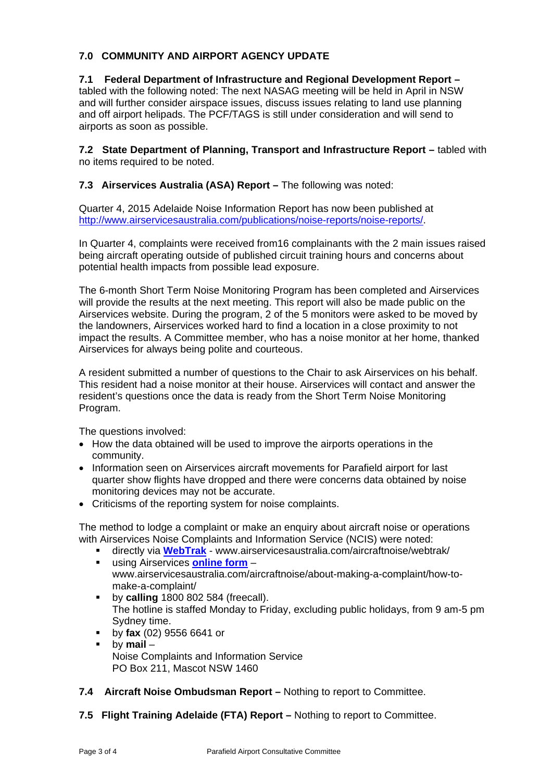# **7.0 COMMUNITY AND AIRPORT AGENCY UPDATE**

### **7.1 Federal Department of Infrastructure and Regional Development Report –**  tabled with the following noted: The next NASAG meeting will be held in April in NSW and will further consider airspace issues, discuss issues relating to land use planning and off airport helipads. The PCF/TAGS is still under consideration and will send to airports as soon as possible.

**7.2 State Department of Planning, Transport and Infrastructure Report –** tabled with no items required to be noted.

**7.3 Airservices Australia (ASA) Report – The following was noted:** 

Quarter 4, 2015 Adelaide Noise Information Report has now been published at http://www.airservicesaustralia.com/publications/noise-reports/noise-reports/.

In Quarter 4, complaints were received from16 complainants with the 2 main issues raised being aircraft operating outside of published circuit training hours and concerns about potential health impacts from possible lead exposure.

The 6-month Short Term Noise Monitoring Program has been completed and Airservices will provide the results at the next meeting. This report will also be made public on the Airservices website. During the program, 2 of the 5 monitors were asked to be moved by the landowners, Airservices worked hard to find a location in a close proximity to not impact the results. A Committee member, who has a noise monitor at her home, thanked Airservices for always being polite and courteous.

A resident submitted a number of questions to the Chair to ask Airservices on his behalf. This resident had a noise monitor at their house. Airservices will contact and answer the resident's questions once the data is ready from the Short Term Noise Monitoring Program.

The questions involved:

- How the data obtained will be used to improve the airports operations in the community.
- Information seen on Airservices aircraft movements for Parafield airport for last quarter show flights have dropped and there were concerns data obtained by noise monitoring devices may not be accurate.
- Criticisms of the reporting system for noise complaints.

The method to lodge a complaint or make an enquiry about aircraft noise or operations with Airservices Noise Complaints and Information Service (NCIS) were noted:

- directly via **WebTrak** www.airservicesaustralia.com/aircraftnoise/webtrak/ using Airservices **online form** –
	- www.airservicesaustralia.com/aircraftnoise/about-making-a-complaint/how-tomake-a-complaint/
- **by calling** 1800 802 584 (freecall). The hotline is staffed Monday to Friday, excluding public holidays, from 9 am-5 pm Sydney time.
- by **fax** (02) 9556 6641 or
- by **mail** Noise Complaints and Information Service PO Box 211, Mascot NSW 1460
- **7.4 Aircraft Noise Ombudsman Report** Nothing to report to Committee.
- **7.5 Flight Training Adelaide (FTA) Report** Nothing to report to Committee.